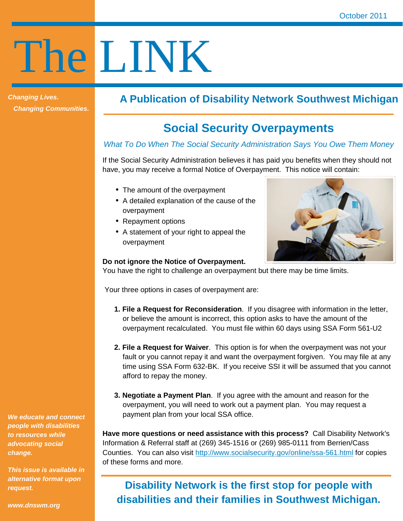# The LINK

**Changing Lives. Changing Communities.** 

# **A Publication of Disability Network Southwest Michigan**

# **Social Security Overpayments**

#### What To Do When The Social Security Administration Says You Owe Them Money

If the Social Security Administration believes it has paid you benefits when they should not have, you may receive a formal Notice of Overpayment. This notice will contain:

- The amount of the overpayment
- A detailed explanation of the cause of the overpayment
- Repayment options
- A statement of your right to appeal the overpayment



#### **Do not ignore the Notice of Overpayment.**

You have the right to challenge an overpayment but there may be time limits.

Your three options in cases of overpayment are:

- **1. File a Request for Reconsideration**. If you disagree with information in the letter, or believe the amount is incorrect, this option asks to have the amount of the overpayment recalculated. You must file within 60 days using SSA Form 561-U2
- **2. File a Request for Waiver**. This option is for when the overpayment was not your fault or you cannot repay it and want the overpayment forgiven. You may file at any time using SSA Form 632-BK. If you receive SSI it will be assumed that you cannot afford to repay the money.
- **3. Negotiate a Payment Plan**. If you agree with the amount and reason for the overpayment, you will need to work out a payment plan. You may request a payment plan from your local SSA office.

**Have more questions or need assistance with this process?** Call Disability Network's Information & Referral staff at (269) 345-1516 or (269) 985-0111 from Berrien/Cass Counties. You can also visit http://www.socialsecurity.gov/online/ssa-561.html for copies of these forms and more.

# **Disability Network is the first stop for people with disabilities and their families in Southwest Michigan.**

**We educate and connect people with disabilities to resources while advocating social change.** 

**This issue is available in alternative format upon request.** 

**www.dnswm.org**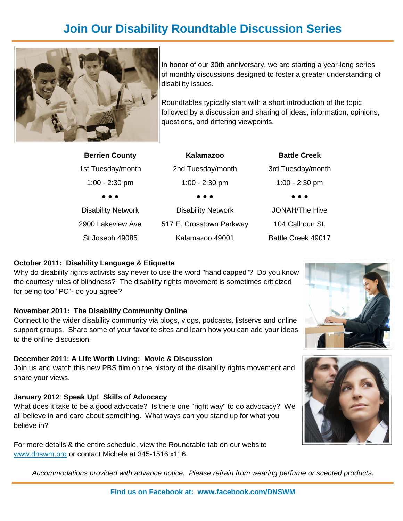# **Join Our Disability Roundtable Discussion Series**



In honor of our 30th anniversary, we are starting a year-long series of monthly discussions designed to foster a greater understanding of disability issues.

Roundtables typically start with a short introduction of the topic followed by a discussion and sharing of ideas, information, opinions, questions, and differing viewpoints.

| <b>Berrien County</b>     | Kalamazoo                 | <b>Battle Creek</b>   |
|---------------------------|---------------------------|-----------------------|
| 1st Tuesday/month         | 2nd Tuesday/month         | 3rd Tuesday/month     |
| $1:00 - 2:30$ pm          | $1:00 - 2:30$ pm          | $1:00 - 2:30$ pm      |
|                           | .                         | .                     |
| <b>Disability Network</b> | <b>Disability Network</b> | <b>JONAH/The Hive</b> |
| 2900 Lakeview Ave         | 517 E. Crosstown Parkway  | 104 Calhoun St.       |
| St Joseph 49085           | Kalamazoo 49001           | Battle Creek 49017    |
|                           |                           |                       |

#### **October 2011: Disability Language & Etiquette**

Why do disability rights activists say never to use the word "handicapped"? Do you know the courtesy rules of blindness? The disability rights movement is sometimes criticized for being too "PC"- do you agree?

#### **November 2011: The Disability Community Online**

Connect to the wider disability community via blogs, vlogs, podcasts, listservs and online support groups. Share some of your favorite sites and learn how you can add your ideas to the online discussion.

#### **December 2011: A Life Worth Living: Movie & Discussion**

Join us and watch this new PBS film on the history of the disability rights movement and share your views.

#### **January 2012**: **Speak Up! Skills of Advocacy**

What does it take to be a good advocate? Is there one "right way" to do advocacy? We all believe in and care about something. What ways can you stand up for what you believe in?

For more details & the entire schedule, view the Roundtable tab on our website www.dnswm.org or contact Michele at 345-1516 x116.





Accommodations provided with advance notice. Please refrain from wearing perfume or scented products.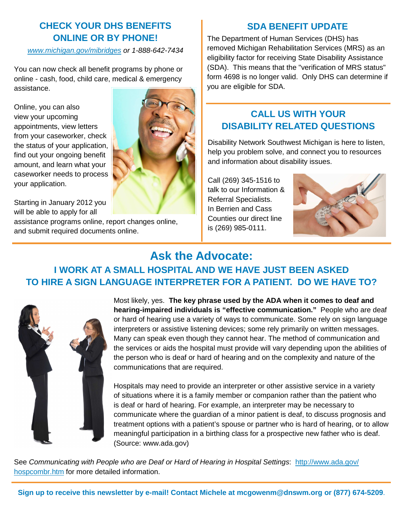## **CHECK YOUR DHS BENEFITS ONLINE OR BY PHONE!**

www.michigan.gov/mibridges or 1-888-642-7434

You can now check all benefit programs by phone or online - cash, food, child care, medical & emergency assistance.

Online, you can also view your upcoming appointments, view letters from your caseworker, check the status of your application, find out your ongoing benefit amount, and learn what your caseworker needs to process your application.

Starting in January 2012 you will be able to apply for all

assistance programs online, report changes online, and submit required documents online.



### **SDA BENEFIT UPDATE**

The Department of Human Services (DHS) has removed Michigan Rehabilitation Services (MRS) as an eligibility factor for receiving State Disability Assistance (SDA). This means that the "verification of MRS status" form 4698 is no longer valid. Only DHS can determine if you are eligible for SDA.

## **CALL US WITH YOUR DISABILITY RELATED QUESTIONS**

Disability Network Southwest Michigan is here to listen, help you problem solve, and connect you to resources and information about disability issues.

Call (269) 345-1516 to talk to our Information & Referral Specialists. In Berrien and Cass Counties our direct line is (269) 985-0111.



# **Ask the Advocate:**

# **I WORK AT A SMALL HOSPITAL AND WE HAVE JUST BEEN ASKED TO HIRE A SIGN LANGUAGE INTERPRETER FOR A PATIENT. DO WE HAVE TO?**



Most likely, yes. **The key phrase used by the ADA when it comes to deaf and hearing-impaired individuals is "effective communication."** People who are deaf or hard of hearing use a variety of ways to communicate. Some rely on sign language interpreters or assistive listening devices; some rely primarily on written messages. Many can speak even though they cannot hear. The method of communication and the services or aids the hospital must provide will vary depending upon the abilities of the person who is deaf or hard of hearing and on the complexity and nature of the communications that are required.

Hospitals may need to provide an interpreter or other assistive service in a variety of situations where it is a family member or companion rather than the patient who is deaf or hard of hearing. For example, an interpreter may be necessary to communicate where the guardian of a minor patient is deaf, to discuss prognosis and treatment options with a patient's spouse or partner who is hard of hearing, or to allow meaningful participation in a birthing class for a prospective new father who is deaf. (Source: www.ada.gov)

See Communicating with People who are Deaf or Hard of Hearing in Hospital Settings: http://www.ada.gov/ hospcombr.htm for more detailed information.